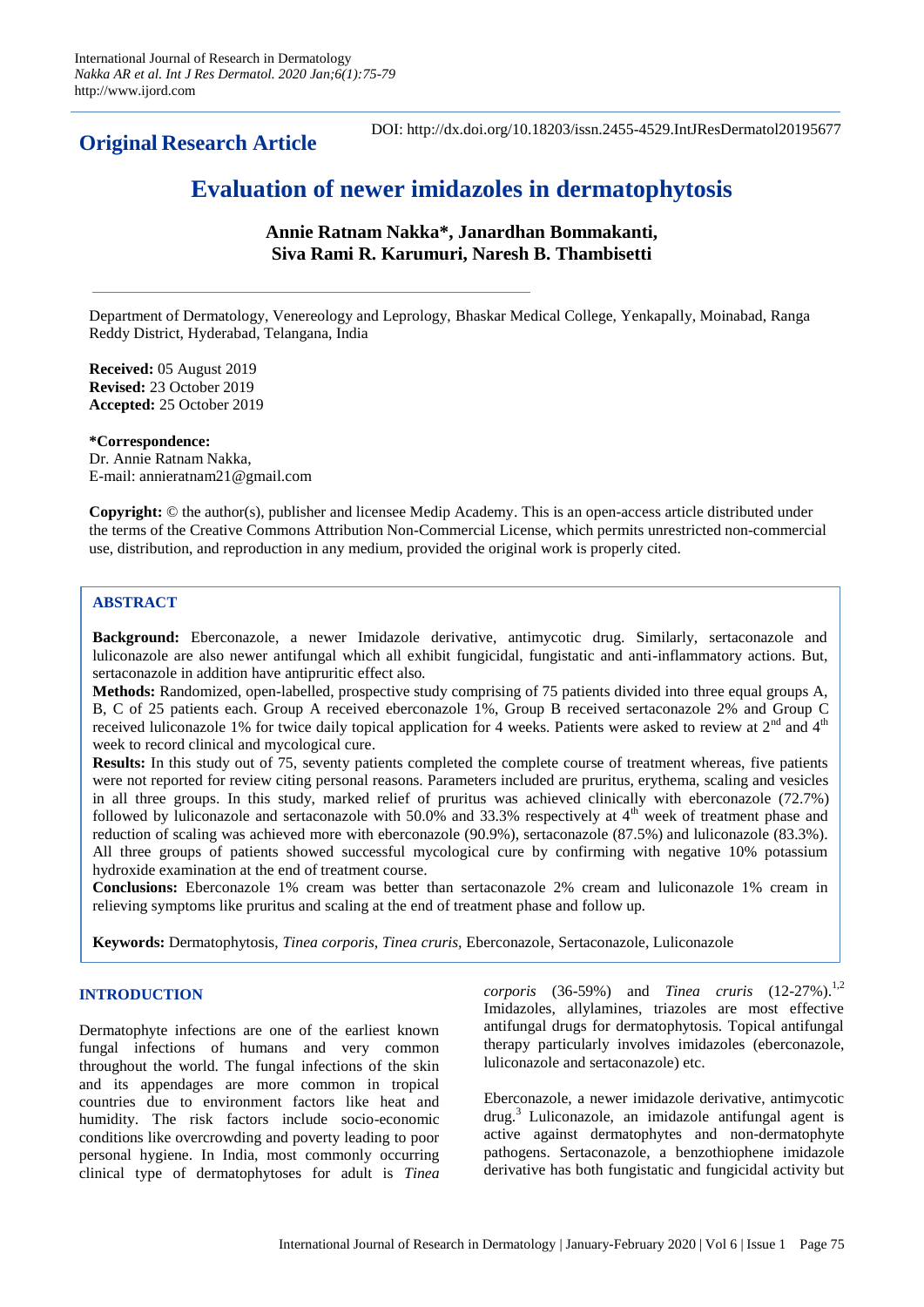**Original Research Article** 

DOI: http://dx.doi.org/10.18203/issn.2455-4529.IntJResDermatol20195677

# **Evaluation of newer imidazoles in dermatophytosis**

**Annie Ratnam Nakka\*, Janardhan Bommakanti, Siva Rami R. Karumuri, Naresh B. Thambisetti**

Department of Dermatology, Venereology and Leprology, Bhaskar Medical College, Yenkapally, Moinabad, Ranga Reddy District, Hyderabad, Telangana, India

**Received:** 05 August 2019 **Revised:** 23 October 2019 **Accepted:** 25 October 2019

**\*Correspondence:** Dr. Annie Ratnam Nakka, E-mail: annieratnam21@gmail.com

**Copyright:** © the author(s), publisher and licensee Medip Academy. This is an open-access article distributed under the terms of the Creative Commons Attribution Non-Commercial License, which permits unrestricted non-commercial use, distribution, and reproduction in any medium, provided the original work is properly cited.

# **ABSTRACT**

**Background:** Eberconazole, a newer Imidazole derivative, antimycotic drug. Similarly, sertaconazole and luliconazole are also newer antifungal which all exhibit fungicidal, fungistatic and anti-inflammatory actions. But, sertaconazole in addition have antipruritic effect also.

**Methods:** Randomized, open-labelled, prospective study comprising of 75 patients divided into three equal groups A, B, C of 25 patients each. Group A received eberconazole 1%, Group B received sertaconazole 2% and Group C received luliconazole 1% for twice daily topical application for 4 weeks. Patients were asked to review at 2<sup>nd</sup> and 4<sup>th</sup> week to record clinical and mycological cure.

**Results:** In this study out of 75, seventy patients completed the complete course of treatment whereas, five patients were not reported for review citing personal reasons. Parameters included are pruritus, erythema, scaling and vesicles in all three groups. In this study, marked relief of pruritus was achieved clinically with eberconazole (72.7%) followed by luliconazole and sertaconazole with  $50.0\%$  and  $33.3\%$  respectively at  $4<sup>th</sup>$  week of treatment phase and reduction of scaling was achieved more with eberconazole (90.9%), sertaconazole (87.5%) and luliconazole (83.3%). All three groups of patients showed successful mycological cure by confirming with negative 10% potassium hydroxide examination at the end of treatment course.

**Conclusions:** Eberconazole 1% cream was better than sertaconazole 2% cream and luliconazole 1% cream in relieving symptoms like pruritus and scaling at the end of treatment phase and follow up.

**Keywords:** Dermatophytosis, *Tinea corporis, Tinea cruris,* Eberconazole, Sertaconazole, Luliconazole

# **INTRODUCTION**

Dermatophyte infections are one of the earliest known fungal infections of humans and very common throughout the world. The fungal infections of the skin and its appendages are more common in tropical countries due to environment factors like heat and humidity. The risk factors include socio-economic conditions like overcrowding and poverty leading to poor personal hygiene. In India, most commonly occurring clinical type of dermatophytoses for adult is *Tinea*  *corporis* (36-59%) and *Tinea cruris* (12-27%).<sup>1,2</sup> Imidazoles, allylamines, triazoles are most effective antifungal drugs for dermatophytosis. Topical antifungal therapy particularly involves imidazoles (eberconazole, luliconazole and sertaconazole) etc.

Eberconazole, a newer imidazole derivative, antimycotic drug.<sup>3</sup> Luliconazole, an imidazole antifungal agent is active against dermatophytes and non-dermatophyte pathogens. Sertaconazole, a benzothiophene imidazole derivative has both fungistatic and fungicidal activity but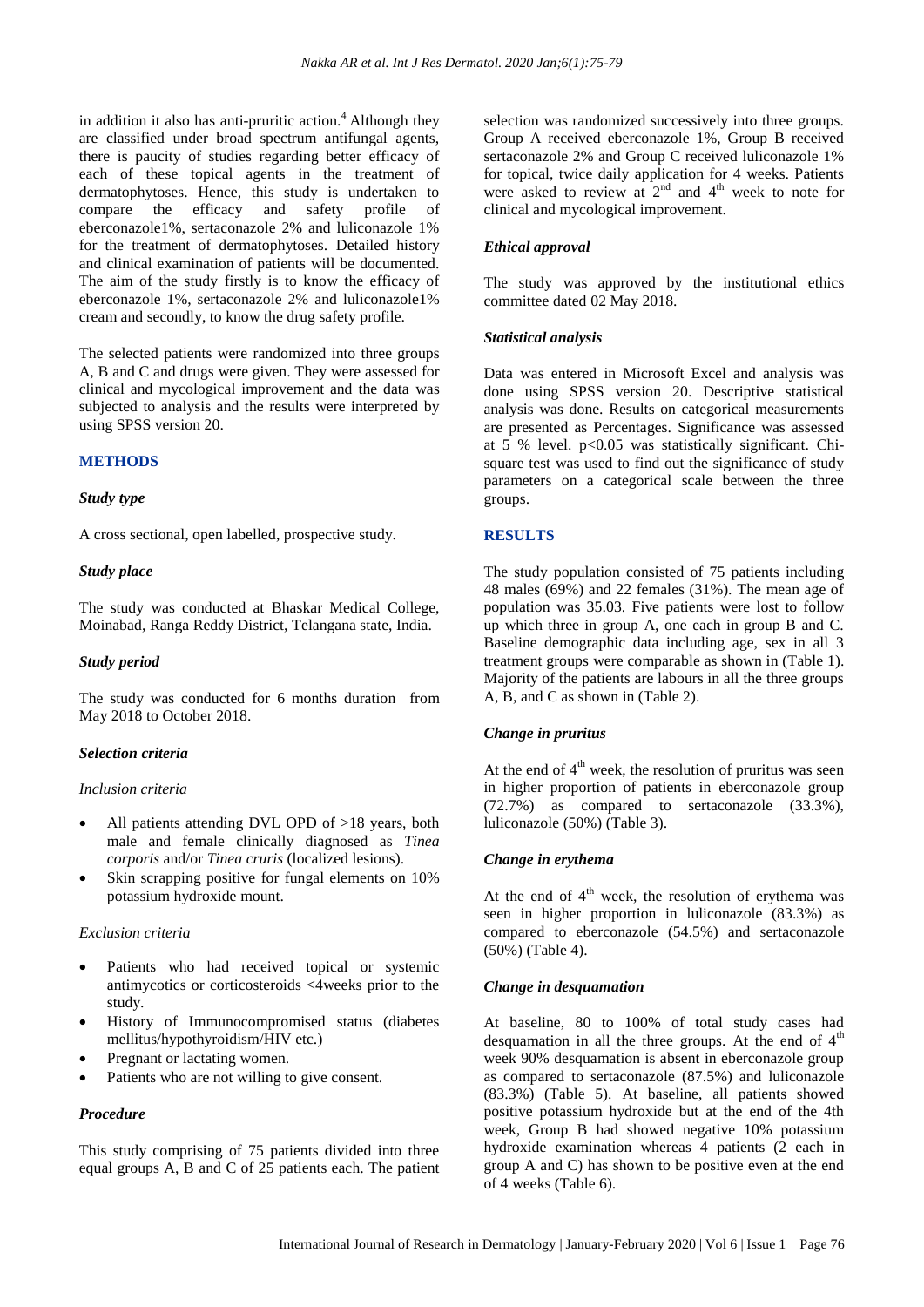in addition it also has anti-pruritic action. $<sup>4</sup>$  Although they</sup> are classified under broad spectrum antifungal agents, there is paucity of studies regarding better efficacy of each of these topical agents in the treatment of dermatophytoses. Hence, this study is undertaken to compare the efficacy and safety profile of eberconazole1%, sertaconazole 2% and luliconazole 1% for the treatment of dermatophytoses. Detailed history and clinical examination of patients will be documented. The aim of the study firstly is to know the efficacy of eberconazole 1%, sertaconazole 2% and luliconazole1% cream and secondly, to know the drug safety profile.

The selected patients were randomized into three groups A, B and C and drugs were given. They were assessed for clinical and mycological improvement and the data was subjected to analysis and the results were interpreted by using SPSS version 20.

#### **METHODS**

#### *Study type*

A cross sectional, open labelled, prospective study.

#### *Study place*

The study was conducted at Bhaskar Medical College, Moinabad, Ranga Reddy District, Telangana state, India.

#### *Study period*

The study was conducted for 6 months duration from May 2018 to October 2018.

## *Selection criteria*

#### *Inclusion criteria*

- All patients attending DVL OPD of >18 years, both male and female clinically diagnosed as *Tinea corporis* and/or *Tinea cruris* (localized lesions).
- Skin scrapping positive for fungal elements on 10% potassium hydroxide mount.

#### *Exclusion criteria*

- Patients who had received topical or systemic antimycotics or corticosteroids <4weeks prior to the study.
- History of Immunocompromised status (diabetes mellitus/hypothyroidism/HIV etc.)
- Pregnant or lactating women.
- Patients who are not willing to give consent.

## *Procedure*

This study comprising of 75 patients divided into three equal groups A, B and C of 25 patients each. The patient selection was randomized successively into three groups. Group A received eberconazole 1%, Group B received sertaconazole 2% and Group C received luliconazole 1% for topical, twice daily application for 4 weeks. Patients were asked to review at  $2<sup>nd</sup>$  and  $4<sup>th</sup>$  week to note for clinical and mycological improvement.

# *Ethical approval*

The study was approved by the institutional ethics committee dated 02 May 2018.

## *Statistical analysis*

Data was entered in Microsoft Excel and analysis was done using SPSS version 20. Descriptive statistical analysis was done. Results on categorical measurements are presented as Percentages. Significance was assessed at 5 % level.  $p<0.05$  was statistically significant. Chisquare test was used to find out the significance of study parameters on a categorical scale between the three groups.

## **RESULTS**

The study population consisted of 75 patients including 48 males (69%) and 22 females (31%). The mean age of population was 35.03. Five patients were lost to follow up which three in group A, one each in group B and C. Baseline demographic data including age, sex in all 3 treatment groups were comparable as shown in (Table 1). Majority of the patients are labours in all the three groups A, B, and C as shown in (Table 2).

## *Change in pruritus*

At the end of  $4<sup>th</sup>$  week, the resolution of pruritus was seen in higher proportion of patients in eberconazole group (72.7%) as compared to sertaconazole (33.3%), luliconazole (50%) (Table 3).

## *Change in erythema*

At the end of  $4<sup>th</sup>$  week, the resolution of erythema was seen in higher proportion in luliconazole (83.3%) as compared to eberconazole (54.5%) and sertaconazole (50%) (Table 4).

## *Change in desquamation*

At baseline, 80 to 100% of total study cases had desquamation in all the three groups. At the end of  $4<sup>th</sup>$ week 90% desquamation is absent in eberconazole group as compared to sertaconazole (87.5%) and luliconazole (83.3%) (Table 5). At baseline, all patients showed positive potassium hydroxide but at the end of the 4th week, Group B had showed negative 10% potassium hydroxide examination whereas 4 patients (2 each in group A and C) has shown to be positive even at the end of 4 weeks (Table 6).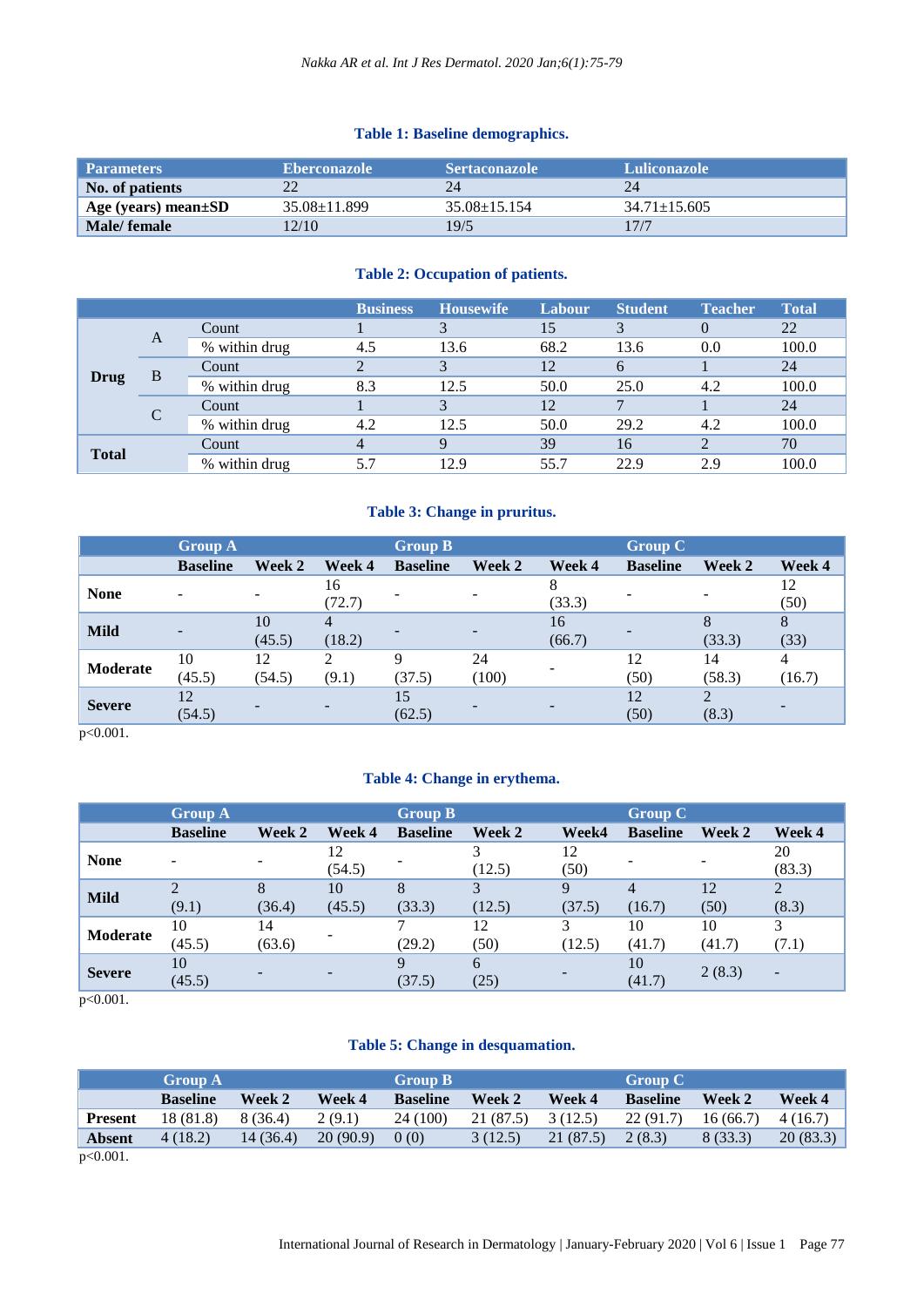# **Table 1: Baseline demographics.**

| <b>Parameters</b>   | <b>Eberconazole</b> | <b>Sertaconazole</b> | <b>Luliconazole</b> |
|---------------------|---------------------|----------------------|---------------------|
| No. of patients     |                     |                      | 24                  |
| Age (years) mean±SD | $35.08 \pm 11.899$  | $35.08 \pm 15.154$   | $34.71 \pm 15.605$  |
| Male/ female        | 2/10                | 19/5                 | 17/7                |

# **Table 2: Occupation of patients.**

|                       |               | <b>Business</b> | <b>Housewife</b> | Labour | <b>Student</b> | <b>Teacher</b> | <b>Total</b> |
|-----------------------|---------------|-----------------|------------------|--------|----------------|----------------|--------------|
| A<br>B<br><b>Drug</b> | Count         |                 |                  | 15     | 3              |                | 22           |
|                       | % within drug | 4.5             | 13.6             | 68.2   | 13.6           | 0.0            | 100.0        |
|                       | Count         |                 | 3                | 12     | 6              |                | 24           |
|                       | % within drug | 8.3             | 12.5             | 50.0   | 25.0           | 4.2            | 100.0        |
|                       | Count         |                 |                  | 12     |                |                | 24           |
|                       | % within drug | 4.2             | 12.5             | 50.0   | 29.2           | 4.2            | 100.0        |
| <b>Total</b>          | Count         |                 | 9                | 39     | 16             |                | 70           |
|                       | % within drug | 5.7             | 12.9             | 55.7   | 22.9           | 2.9            | 100.0        |

# **Table 3: Change in pruritus.**

|               | <b>Group A</b>  |              |                          | <b>Group B</b>  |             |              | <b>Group C</b>  |              |             |
|---------------|-----------------|--------------|--------------------------|-----------------|-------------|--------------|-----------------|--------------|-------------|
|               | <b>Baseline</b> | Week 2       | Week 4                   | <b>Baseline</b> | Week 2      | Week 4       | <b>Baseline</b> | Week 2       | Week 4      |
| <b>None</b>   |                 | -            | 16<br>(72.7)             |                 |             | 8<br>(33.3)  |                 |              | 12<br>(50)  |
| <b>Mild</b>   |                 | 10<br>(45.5) | $\overline{4}$<br>(18.2) |                 |             | 16<br>(66.7) |                 | (33.3)       | 8<br>(33)   |
| Moderate      | 10<br>(45.5)    | 12<br>(54.5) | $\mathcal{D}$<br>(9.1)   | Q<br>(37.5)     | 24<br>(100) |              | 12<br>(50)      | 14<br>(58.3) | 4<br>(16.7) |
| <b>Severe</b> | 12<br>(54.5)    |              |                          | 15<br>(62.5)    |             |              | 12<br>(50)      | (8.3)        |             |

p<0.001.

# **Table 4: Change in erythema.**

|               | <b>Group A</b>              |        |              | <b>Group B</b>  |        |            | <b>Group C</b>  |        |                          |  |
|---------------|-----------------------------|--------|--------------|-----------------|--------|------------|-----------------|--------|--------------------------|--|
|               | <b>Baseline</b>             | Week 2 | Week 4       | <b>Baseline</b> | Week 2 | Week4      | <b>Baseline</b> | Week 2 | Week 4                   |  |
| <b>None</b>   | -                           |        | 12<br>(54.5) |                 | (12.5) | 12<br>(50) |                 |        | 20<br>(83.3)             |  |
|               | $\mathcal{D}_{\mathcal{A}}$ | 8      | 10           | 8               | 3      | 9          | $\overline{4}$  | 12     | 2                        |  |
| <b>Mild</b>   | (9.1)                       | (36.4) | (45.5)       | (33.3)          | (12.5) | (37.5)     | (16.7)          | (50)   | (8.3)                    |  |
| Moderate      | 10                          | 14     |              |                 | 12     | 3          | 10              | 10     | 3                        |  |
|               | (45.5)                      | (63.6) | ۰            | (29.2)          | (50)   | (12.5)     | (41.7)          | (41.7) | (7.1)                    |  |
| <b>Severe</b> | 10                          |        |              | Q               | 6      |            | 10              |        |                          |  |
|               | (45.5)                      |        |              | (37.5)          | (25)   |            | (41.7)          | 2(8.3) | $\overline{\phantom{0}}$ |  |

p<0.001.

# **Table 5: Change in desquamation.**

|                             | <b>Group A</b>  |           |          | Group B         |           |           | <b>Group C</b>  |          |          |
|-----------------------------|-----------------|-----------|----------|-----------------|-----------|-----------|-----------------|----------|----------|
|                             | <b>Baseline</b> | Week 2    | Week 4   | <b>Baseline</b> | Week 2    | Week 4    | <b>Baseline</b> | Week 2   | Week 4   |
| <b>Present</b>              | 18 (81.8)       | 8(36.4)   | 2(9.1)   | 24 (100)        | 21 (87.5) | 3(12.5)   | 22(91.7)        | 16(66.7) | 4(16.7)  |
| <b>Absent</b>               | 4(18.2)         | 14 (36.4) | 20(90.9) | (0)             | 3(12.5)   | 21 (87.5) | 2(8.3)          | 8(33.3)  | 20(83.3) |
| $\sim$ $\sim$ $\sim$ $\sim$ |                 |           |          |                 |           |           |                 |          |          |

p<0.001.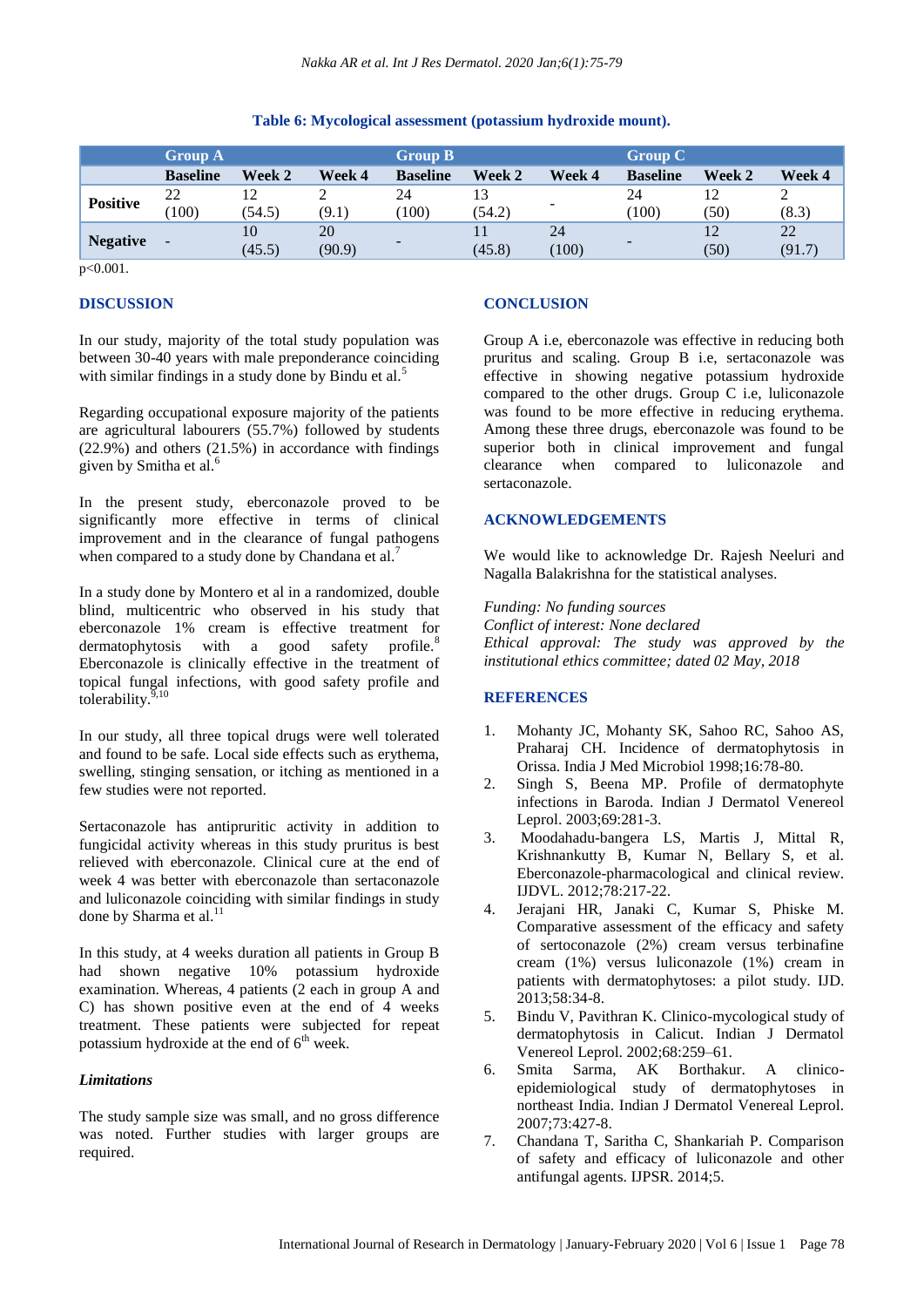## **Table 6: Mycological assessment (potassium hydroxide mount).**

|                 | <b>Group A</b>           |              |              | <b>Group B</b>  |        |             | <b>Group C</b>           |            |              |
|-----------------|--------------------------|--------------|--------------|-----------------|--------|-------------|--------------------------|------------|--------------|
|                 | <b>Baseline</b>          | Week 2       | Week 4       | <b>Baseline</b> | Week 2 | Week 4      | <b>Baseline</b>          | Week 2     | Week 4       |
| <b>Positive</b> | 22<br>100                | (54.5)       | (9.1)        | 24<br>(100)     | (54.2) |             | 24<br>(100)              | 12<br>(50) | (8.3)        |
| <b>Negative</b> | $\overline{\phantom{a}}$ | 10<br>(45.5) | 20<br>(90.9) |                 | (45.8) | 24<br>(100) | $\overline{\phantom{a}}$ | 12<br>(50) | 22<br>(91.7) |

 $p < 0.001$ .

## **DISCUSSION**

In our study, majority of the total study population was between 30-40 years with male preponderance coinciding with similar findings in a study done by Bindu et al.<sup>5</sup>

Regarding occupational exposure majority of the patients are agricultural labourers (55.7%) followed by students (22.9%) and others (21.5%) in accordance with findings given by Smitha et al.<sup>6</sup>

In the present study, eberconazole proved to be significantly more effective in terms of clinical improvement and in the clearance of fungal pathogens when compared to a study done by Chandana et al.<sup>7</sup>

In a study done by Montero et al in a randomized, double blind, multicentric who observed in his study that eberconazole 1% cream is effective treatment for dermatophytosis with a good safety profile.<sup>8</sup> Eberconazole is clinically effective in the treatment of topical fungal infections, with good safety profile and tolerability.<sup>9,10</sup>

In our study, all three topical drugs were well tolerated and found to be safe. Local side effects such as erythema, swelling, stinging sensation, or itching as mentioned in a few studies were not reported.

Sertaconazole has antipruritic activity in addition to fungicidal activity whereas in this study pruritus is best relieved with eberconazole. Clinical cure at the end of week 4 was better with eberconazole than sertaconazole and luliconazole coinciding with similar findings in study done by Sharma et al. $<sup>11</sup>$ </sup>

In this study, at 4 weeks duration all patients in Group B had shown negative 10% potassium hydroxide examination. Whereas, 4 patients (2 each in group A and C) has shown positive even at the end of 4 weeks treatment. These patients were subjected for repeat potassium hydroxide at the end of  $6<sup>th</sup>$  week.

#### *Limitations*

The study sample size was small, and no gross difference was noted. Further studies with larger groups are required.

#### **CONCLUSION**

Group A i.e, eberconazole was effective in reducing both pruritus and scaling. Group B i.e, sertaconazole was effective in showing negative potassium hydroxide compared to the other drugs. Group C i.e, luliconazole was found to be more effective in reducing erythema. Among these three drugs, eberconazole was found to be superior both in clinical improvement and fungal clearance when compared to luliconazole and sertaconazole.

#### **ACKNOWLEDGEMENTS**

We would like to acknowledge Dr. Rajesh Neeluri and Nagalla Balakrishna for the statistical analyses.

*Funding: No funding sources Conflict of interest: None declared Ethical approval: The study was approved by the institutional ethics committee; dated 02 May, 2018*

## **REFERENCES**

- 1. Mohanty JC, Mohanty SK, Sahoo RC, Sahoo AS, Praharaj CH. Incidence of dermatophytosis in Orissa. India J Med Microbiol 1998;16:78-80.
- 2. Singh S, Beena MP. Profile of dermatophyte infections in Baroda. Indian J Dermatol Venereol Leprol. 2003;69:281-3.
- 3. Moodahadu-bangera LS, Martis J, Mittal R, Krishnankutty B, Kumar N, Bellary S, et al. Eberconazole-pharmacological and clinical review. IJDVL. 2012;78:217-22.
- 4. Jerajani HR, Janaki C, Kumar S, Phiske M. Comparative assessment of the efficacy and safety of sertoconazole (2%) cream versus terbinafine cream (1%) versus luliconazole (1%) cream in patients with dermatophytoses: a pilot study. IJD. 2013;58:34-8.
- 5. Bindu V, Pavithran K. Clinico-mycological study of dermatophytosis in Calicut. Indian J Dermatol Venereol Leprol. 2002;68:259–61.
- 6. Smita Sarma, AK Borthakur. A clinicoepidemiological study of dermatophytoses in northeast India. Indian J Dermatol Venereal Leprol. 2007;73:427-8.
- 7. Chandana T, Saritha C, Shankariah P. Comparison of safety and efficacy of luliconazole and other antifungal agents. IJPSR. 2014;5.